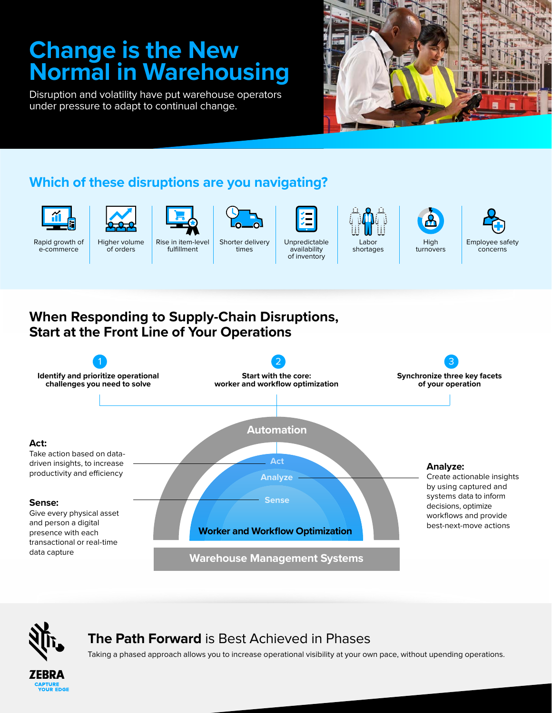# **Change is the New Normal in Warehousing**

Disruption and volatility have put warehouse operators under pressure to adapt to continual change.



## **Which of these disruptions are you navigating?**



Rapid growth of e-commerce



Higher volume of orders Rise in item-level fulfillment



Shorter delivery times



of inventory

Labor shortages





**When Responding to Supply-Chain Disruptions, Start at the Front Line of Your Operations**





## **The Path Forward** is Best Achieved in Phases

Taking a phased approach allows you to increase operational visibility at your own pace, without upending operations.